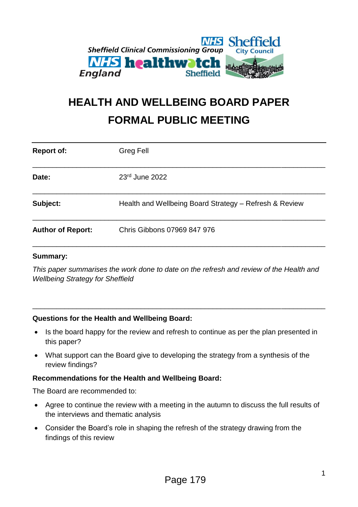

# **HEALTH AND WELLBEING BOARD PAPER FORMAL PUBLIC MEETING**

| <b>Report of:</b>        | Greg Fell                                              |
|--------------------------|--------------------------------------------------------|
| Date:                    | 23rd June 2022                                         |
| Subject:                 | Health and Wellbeing Board Strategy - Refresh & Review |
| <b>Author of Report:</b> | Chris Gibbons 07969 847 976                            |

#### **Summary:**

*This paper summarises the work done to date on the refresh and review of the Health and Wellbeing Strategy for Sheffield*

\_\_\_\_\_\_\_\_\_\_\_\_\_\_\_\_\_\_\_\_\_\_\_\_\_\_\_\_\_\_\_\_\_\_\_\_\_\_\_\_\_\_\_\_\_\_\_\_\_\_\_\_\_\_\_\_\_\_\_\_\_\_\_\_\_\_\_\_\_\_\_\_\_

#### **Questions for the Health and Wellbeing Board:**

- Is the board happy for the review and refresh to continue as per the plan presented in this paper?
- What support can the Board give to developing the strategy from a synthesis of the review findings?

#### **Recommendations for the Health and Wellbeing Board:**

The Board are recommended to:

- Agree to continue the review with a meeting in the autumn to discuss the full results of the interviews and thematic analysis
- Consider the Board's role in shaping the refresh of the strategy drawing from the findings of this review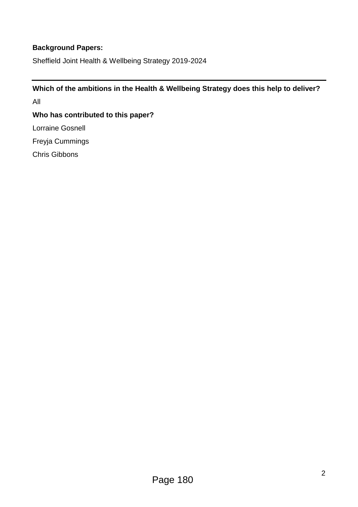## **Background Papers:**

Sheffield Joint Health & Wellbeing Strategy 2019-2024

**Which of the ambitions in the Health & Wellbeing Strategy does this help to deliver?** All **Who has contributed to this paper?** Lorraine Gosnell Freyja Cummings

Chris Gibbons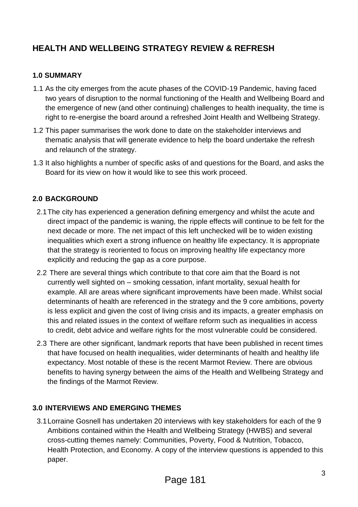# **HEALTH AND WELLBEING STRATEGY REVIEW & REFRESH**

#### **1.0 SUMMARY**

- 1.1 As the city emerges from the acute phases of the COVID-19 Pandemic, having faced two years of disruption to the normal functioning of the Health and Wellbeing Board and the emergence of new (and other continuing) challenges to health inequality, the time is right to re-energise the board around a refreshed Joint Health and Wellbeing Strategy.
- 1.2 This paper summarises the work done to date on the stakeholder interviews and thematic analysis that will generate evidence to help the board undertake the refresh and relaunch of the strategy.
- 1.3 It also highlights a number of specific asks of and questions for the Board, and asks the Board for its view on how it would like to see this work proceed.

### **2.0 BACKGROUND**

- 2.1The city has experienced a generation defining emergency and whilst the acute and direct impact of the pandemic is waning, the ripple effects will continue to be felt for the next decade or more. The net impact of this left unchecked will be to widen existing inequalities which exert a strong influence on healthy life expectancy. It is appropriate that the strategy is reoriented to focus on improving healthy life expectancy more explicitly and reducing the gap as a core purpose.
- 2.2 There are several things which contribute to that core aim that the Board is not currently well sighted on – smoking cessation, infant mortality, sexual health for example. All are areas where significant improvements have been made. Whilst social determinants of health are referenced in the strategy and the 9 core ambitions, poverty is less explicit and given the cost of living crisis and its impacts, a greater emphasis on this and related issues in the context of welfare reform such as inequalities in access to credit, debt advice and welfare rights for the most vulnerable could be considered.
- 2.3 There are other significant, landmark reports that have been published in recent times that have focused on health inequalities, wider determinants of health and healthy life expectancy. Most notable of these is the recent Marmot Review. There are obvious benefits to having synergy between the aims of the Health and Wellbeing Strategy and the findings of the Marmot Review.

### **3.0 INTERVIEWS AND EMERGING THEMES**

3.1Lorraine Gosnell has undertaken 20 interviews with key stakeholders for each of the 9 Ambitions contained within the Health and Wellbeing Strategy (HWBS) and several cross-cutting themes namely: Communities, Poverty, Food & Nutrition, Tobacco, Health Protection, and Economy. A copy of the interview questions is appended to this paper.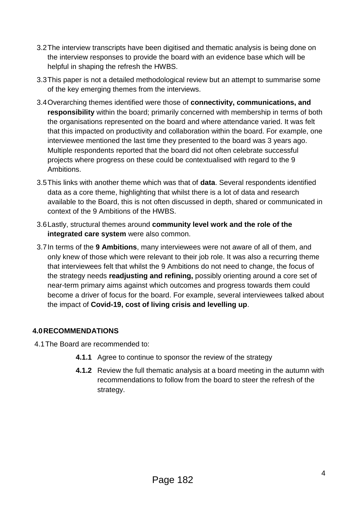- 3.2The interview transcripts have been digitised and thematic analysis is being done on the interview responses to provide the board with an evidence base which will be helpful in shaping the refresh the HWBS.
- 3.3This paper is not a detailed methodological review but an attempt to summarise some of the key emerging themes from the interviews.
- 3.4Overarching themes identified were those of **connectivity, communications, and responsibility** within the board; primarily concerned with membership in terms of both the organisations represented on the board and where attendance varied. It was felt that this impacted on productivity and collaboration within the board. For example, one interviewee mentioned the last time they presented to the board was 3 years ago. Multiple respondents reported that the board did not often celebrate successful projects where progress on these could be contextualised with regard to the 9 Ambitions.
- 3.5This links with another theme which was that of **data**. Several respondents identified data as a core theme, highlighting that whilst there is a lot of data and research available to the Board, this is not often discussed in depth, shared or communicated in context of the 9 Ambitions of the HWBS.
- 3.6Lastly, structural themes around **community level work and the role of the integrated care system** were also common.
- 3.7In terms of the **9 Ambitions**, many interviewees were not aware of all of them, and only knew of those which were relevant to their job role. It was also a recurring theme that interviewees felt that whilst the 9 Ambitions do not need to change, the focus of the strategy needs **readjusting and refining,** possibly orienting around a core set of near-term primary aims against which outcomes and progress towards them could become a driver of focus for the board. For example, several interviewees talked about the impact of **Covid-19, cost of living crisis and levelling up**.

### **4.0RECOMMENDATIONS**

4.1The Board are recommended to:

- **4.1.1** Agree to continue to sponsor the review of the strategy
- **4.1.2** Review the full thematic analysis at a board meeting in the autumn with recommendations to follow from the board to steer the refresh of the strategy.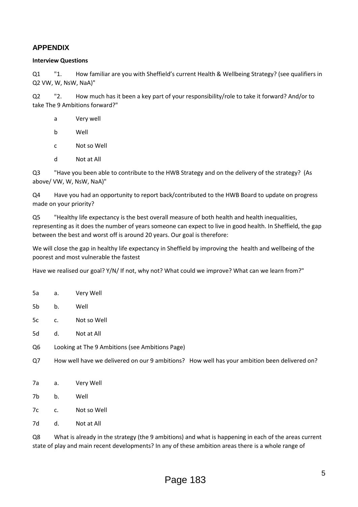#### **APPENDIX**

#### **Interview Questions**

Q1 "1. How familiar are you with Sheffield's current Health & Wellbeing Strategy? (see qualifiers in Q2 VW, W, NsW, NaA)"

Q2 "2. How much has it been a key part of your responsibility/role to take it forward? And/or to take The 9 Ambitions forward?"

- a Very well
- b Well
- c Not so Well
- d Not at All

Q3 "Have you been able to contribute to the HWB Strategy and on the delivery of the strategy? (As above/ VW, W, NsW, NaA)"

Q4 Have you had an opportunity to report back/contributed to the HWB Board to update on progress made on your priority?

Q5 "Healthy life expectancy is the best overall measure of both health and health inequalities, representing as it does the number of years someone can expect to live in good health. In Sheffield, the gap between the best and worst off is around 20 years. Our goal is therefore:

We will close the gap in healthy life expectancy in Sheffield by improving the health and wellbeing of the poorest and most vulnerable the fastest

Have we realised our goal? Y/N/ If not, why not? What could we improve? What can we learn from?"

- 5a a. Very Well
- 5b b. Well
- 5c c. Not so Well
- 5d d. Not at All
- Q6 Looking at The 9 Ambitions (see Ambitions Page)
- Q7 How well have we delivered on our 9 ambitions? How well has your ambition been delivered on?
- 7a a. Very Well
- 7b b. Well
- 7c c. Not so Well
- 7d d. Not at All

Q8 What is already in the strategy (the 9 ambitions) and what is happening in each of the areas current state of play and main recent developments? In any of these ambition areas there is a whole range of